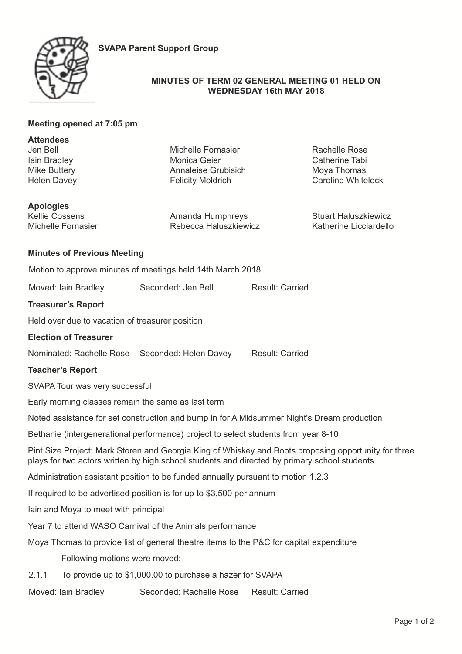



## **MINUTES OF TERM 02 GENERAL MEETING 01 HELD ON WEDNESDAY 16th MAY 2018**

# **Meeting opened at 7:05 pm**

| <b>Attendees</b><br>Jen Bell                                                                                                                                                                         | <b>Michelle Fornasier</b>                       |                        | <b>Rachelle Rose</b>                                  |
|------------------------------------------------------------------------------------------------------------------------------------------------------------------------------------------------------|-------------------------------------------------|------------------------|-------------------------------------------------------|
| lain Bradley                                                                                                                                                                                         | Monica Geier                                    |                        | Catherine Tabi                                        |
| Mike Buttery<br><b>Helen Davey</b>                                                                                                                                                                   | Annaleise Grubisich<br><b>Felicity Moldrich</b> |                        | Moya Thomas<br><b>Caroline Whitelock</b>              |
|                                                                                                                                                                                                      |                                                 |                        |                                                       |
| <b>Apologies</b>                                                                                                                                                                                     |                                                 |                        |                                                       |
| <b>Kellie Cossens</b><br>Michelle Fornasier                                                                                                                                                          | Amanda Humphreys<br>Rebecca Haluszkiewicz       |                        | <b>Stuart Haluszkiewicz</b><br>Katherine Licciardello |
|                                                                                                                                                                                                      |                                                 |                        |                                                       |
| <b>Minutes of Previous Meeting</b>                                                                                                                                                                   |                                                 |                        |                                                       |
| Motion to approve minutes of meetings held 14th March 2018.                                                                                                                                          |                                                 |                        |                                                       |
| Moved: Iain Bradley                                                                                                                                                                                  | Seconded: Jen Bell                              | <b>Result: Carried</b> |                                                       |
| <b>Treasurer's Report</b>                                                                                                                                                                            |                                                 |                        |                                                       |
| Held over due to vacation of treasurer position                                                                                                                                                      |                                                 |                        |                                                       |
| <b>Election of Treasurer</b>                                                                                                                                                                         |                                                 |                        |                                                       |
| Nominated: Rachelle Rose Seconded: Helen Davey                                                                                                                                                       |                                                 | <b>Result: Carried</b> |                                                       |
| <b>Teacher's Report</b>                                                                                                                                                                              |                                                 |                        |                                                       |
| SVAPA Tour was very successful                                                                                                                                                                       |                                                 |                        |                                                       |
| Early morning classes remain the same as last term                                                                                                                                                   |                                                 |                        |                                                       |
| Noted assistance for set construction and bump in for A Midsummer Night's Dream production                                                                                                           |                                                 |                        |                                                       |
| Bethanie (intergenerational performance) project to select students from year 8-10                                                                                                                   |                                                 |                        |                                                       |
| Pint Size Project: Mark Storen and Georgia King of Whiskey and Boots proposing opportunity for three<br>plays for two actors written by high school students and directed by primary school students |                                                 |                        |                                                       |
| Administration assistant position to be funded annually pursuant to motion 1.2.3                                                                                                                     |                                                 |                        |                                                       |
| If required to be advertised position is for up to \$3,500 per annum                                                                                                                                 |                                                 |                        |                                                       |
| lain and Moya to meet with principal                                                                                                                                                                 |                                                 |                        |                                                       |
| Year 7 to attend WASO Carnival of the Animals performance                                                                                                                                            |                                                 |                        |                                                       |
| Moya Thomas to provide list of general theatre items to the P&C for capital expenditure                                                                                                              |                                                 |                        |                                                       |
| Following motions were moved:                                                                                                                                                                        |                                                 |                        |                                                       |
| 2.1.1<br>To provide up to \$1,000.00 to purchase a hazer for SVAPA                                                                                                                                   |                                                 |                        |                                                       |
| Moved: Iain Bradley                                                                                                                                                                                  | Seconded: Rachelle Rose                         | <b>Result: Carried</b> |                                                       |